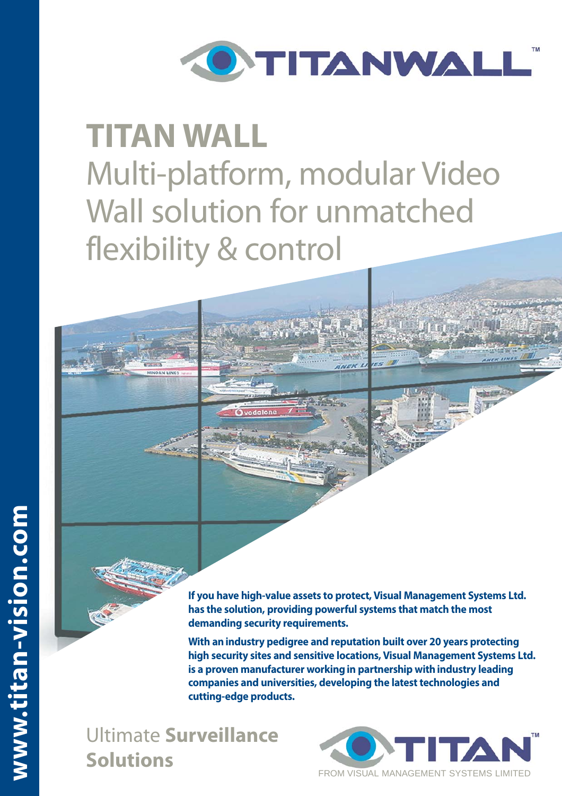

# **TITAN WALL** Multi-platform, modular Video Wall solution for unmatched flexibility & control



**With an industry pedigree and reputation built over 20 years protecting high security sites and sensitive locations, Visual Management Systems Ltd. is a proven manufacturer working in partnership with industry leading companies and universities, developing the latest technologies and cutting-edge products.** 

Ultimate **Surveillance Solutions**